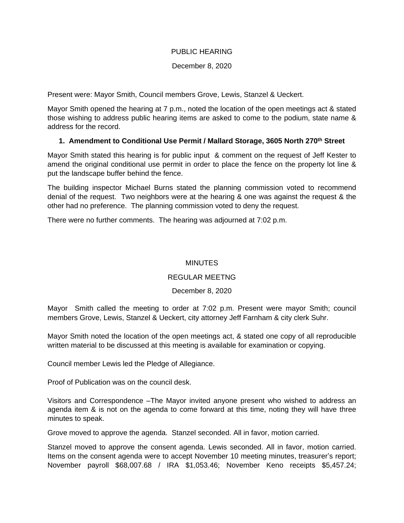### PUBLIC HEARING

### December 8, 2020

Present were: Mayor Smith, Council members Grove, Lewis, Stanzel & Ueckert.

Mayor Smith opened the hearing at 7 p.m., noted the location of the open meetings act & stated those wishing to address public hearing items are asked to come to the podium, state name & address for the record.

# **1. Amendment to Conditional Use Permit / Mallard Storage, 3605 North 270th Street**

Mayor Smith stated this hearing is for public input & comment on the request of Jeff Kester to amend the original conditional use permit in order to place the fence on the property lot line & put the landscape buffer behind the fence.

The building inspector Michael Burns stated the planning commission voted to recommend denial of the request. Two neighbors were at the hearing & one was against the request & the other had no preference. The planning commission voted to deny the request.

There were no further comments. The hearing was adjourned at 7:02 p.m.

# **MINUTES**

# REGULAR MEETNG

# December 8, 2020

Mayor Smith called the meeting to order at 7:02 p.m. Present were mayor Smith; council members Grove, Lewis, Stanzel & Ueckert, city attorney Jeff Farnham & city clerk Suhr.

Mayor Smith noted the location of the open meetings act, & stated one copy of all reproducible written material to be discussed at this meeting is available for examination or copying.

Council member Lewis led the Pledge of Allegiance.

Proof of Publication was on the council desk.

Visitors and Correspondence –The Mayor invited anyone present who wished to address an agenda item & is not on the agenda to come forward at this time, noting they will have three minutes to speak.

Grove moved to approve the agenda. Stanzel seconded. All in favor, motion carried.

Stanzel moved to approve the consent agenda. Lewis seconded. All in favor, motion carried. Items on the consent agenda were to accept November 10 meeting minutes, treasurer's report; November payroll \$68,007.68 / IRA \$1,053.46; November Keno receipts \$5,457.24;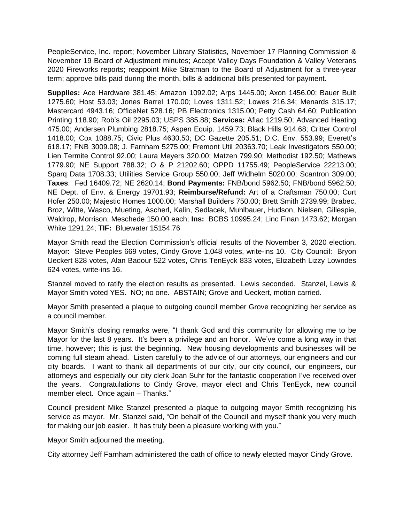PeopleService, Inc. report; November Library Statistics, November 17 Planning Commission & November 19 Board of Adjustment minutes; Accept Valley Days Foundation & Valley Veterans 2020 Fireworks reports; reappoint Mike Stratman to the Board of Adjustment for a three-year term; approve bills paid during the month, bills & additional bills presented for payment.

**Supplies:** Ace Hardware 381.45; Amazon 1092.02; Arps 1445.00; Axon 1456.00; Bauer Built 1275.60; Host 53.03; Jones Barrel 170.00; Loves 1311.52; Lowes 216.34; Menards 315.17; Mastercard 4943.16; OfficeNet 528.16; PB Electronics 1315.00; Petty Cash 64.60; Publication Printing 118.90; Rob's Oil 2295.03; USPS 385.88; **Services:** Aflac 1219.50; Advanced Heating 475.00; Andersen Plumbing 2818.75; Aspen Equip. 1459.73; Black Hills 914.68; Critter Control 1418.00; Cox 1088.75; Civic Plus 4630.50; DC Gazette 205.51; D.C. Env. 553.99; Everett's 618.17; FNB 3009.08; J. Farnham 5275.00; Fremont Util 20363.70; Leak Investigators 550.00; Lien Termite Control 92.00; Laura Meyers 320.00; Matzen 799.90; Methodist 192.50; Mathews 1779.90; NE Support 788.32; O & P 21202.60; OPPD 11755.49; PeopleService 22213.00; Sparq Data 1708.33; Utilities Service Group 550.00; Jeff Widhelm 5020.00; Scantron 309.00; **Taxes**: Fed 16409.72; NE 2620.14; **Bond Payments:** FNB/bond 5962.50; FNB/bond 5962.50; NE Dept. of Env. & Energy 19701.93; **Reimburse/Refund:** Art of a Craftsman 750.00; Curt Hofer 250.00; Majestic Homes 1000.00; Marshall Builders 750.00; Brett Smith 2739.99; Brabec, Broz, Witte, Wasco, Mueting, Ascherl, Kalin, Sedlacek, Muhlbauer, Hudson, Nielsen, Gillespie, Waldrop, Morrison, Meschede 150.00 each; **Ins:** BCBS 10995.24; Linc Finan 1473.62; Morgan White 1291.24; **TIF:** Bluewater 15154.76

Mayor Smith read the Election Commission's official results of the November 3, 2020 election. Mayor: Steve Peoples 669 votes, Cindy Grove 1,048 votes, write-ins 10. City Council: Bryon Ueckert 828 votes, Alan Badour 522 votes, Chris TenEyck 833 votes, Elizabeth Lizzy Lowndes 624 votes, write-ins 16.

Stanzel moved to ratify the election results as presented. Lewis seconded. Stanzel, Lewis & Mayor Smith voted YES. NO; no one. ABSTAIN; Grove and Ueckert, motion carried.

Mayor Smith presented a plaque to outgoing council member Grove recognizing her service as a council member.

Mayor Smith's closing remarks were, "I thank God and this community for allowing me to be Mayor for the last 8 years. It's been a privilege and an honor. We've come a long way in that time, however; this is just the beginning. New housing developments and businesses will be coming full steam ahead. Listen carefully to the advice of our attorneys, our engineers and our city boards. I want to thank all departments of our city, our city council, our engineers, our attorneys and especially our city clerk Joan Suhr for the fantastic cooperation I've received over the years. Congratulations to Cindy Grove, mayor elect and Chris TenEyck, new council member elect. Once again – Thanks."

Council president Mike Stanzel presented a plaque to outgoing mayor Smith recognizing his service as mayor. Mr. Stanzel said, "On behalf of the Council and myself thank you very much for making our job easier. It has truly been a pleasure working with you."

Mayor Smith adjourned the meeting.

City attorney Jeff Farnham administered the oath of office to newly elected mayor Cindy Grove.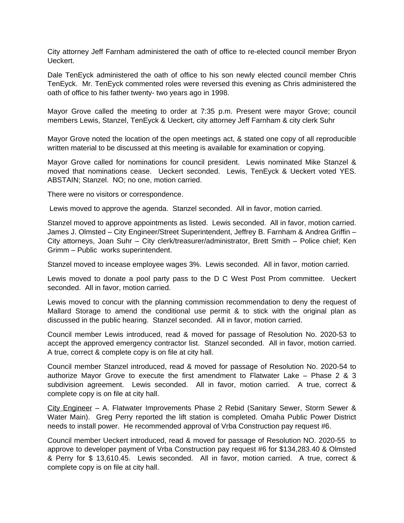City attorney Jeff Farnham administered the oath of office to re-elected council member Bryon Ueckert.

Dale TenEyck administered the oath of office to his son newly elected council member Chris TenEyck. Mr. TenEyck commented roles were reversed this evening as Chris administered the oath of office to his father twenty- two years ago in 1998.

Mayor Grove called the meeting to order at 7:35 p.m. Present were mayor Grove; council members Lewis, Stanzel, TenEyck & Ueckert, city attorney Jeff Farnham & city clerk Suhr

Mayor Grove noted the location of the open meetings act, & stated one copy of all reproducible written material to be discussed at this meeting is available for examination or copying.

Mayor Grove called for nominations for council president. Lewis nominated Mike Stanzel & moved that nominations cease. Ueckert seconded. Lewis, TenEyck & Ueckert voted YES. ABSTAIN; Stanzel. NO; no one, motion carried.

There were no visitors or correspondence.

Lewis moved to approve the agenda. Stanzel seconded. All in favor, motion carried.

Stanzel moved to approve appointments as listed. Lewis seconded. All in favor, motion carried. James J. Olmsted – City Engineer/Street Superintendent, Jeffrey B. Farnham & Andrea Griffin – City attorneys, Joan Suhr – City clerk/treasurer/administrator, Brett Smith – Police chief; Ken Grimm – Public works superintendent.

Stanzel moved to incease employee wages 3%. Lewis seconded. All in favor, motion carried.

Lewis moved to donate a pool party pass to the D C West Post Prom committee. Ueckert seconded. All in favor, motion carried.

Lewis moved to concur with the planning commission recommendation to deny the request of Mallard Storage to amend the conditional use permit & to stick with the original plan as discussed in the public hearing. Stanzel seconded. All in favor, motion carried.

Council member Lewis introduced, read & moved for passage of Resolution No. 2020-53 to accept the approved emergency contractor list. Stanzel seconded. All in favor, motion carried. A true, correct & complete copy is on file at city hall.

Council member Stanzel introduced, read & moved for passage of Resolution No. 2020-54 to authorize Mayor Grove to execute the first amendment to Flatwater Lake – Phase 2 & 3 subdivision agreement. Lewis seconded. All in favor, motion carried. A true, correct & complete copy is on file at city hall.

City Engineer – A. Flatwater Improvements Phase 2 Rebid (Sanitary Sewer, Storm Sewer & Water Main). Greg Perry reported the lift station is completed. Omaha Public Power District needs to install power. He recommended approval of Vrba Construction pay request #6.

Council member Ueckert introduced, read & moved for passage of Resolution NO. 2020-55 to approve to developer payment of Vrba Construction pay request #6 for \$134,283.40 & Olmsted & Perry for \$ 13,610.45. Lewis seconded. All in favor, motion carried. A true, correct & complete copy is on file at city hall.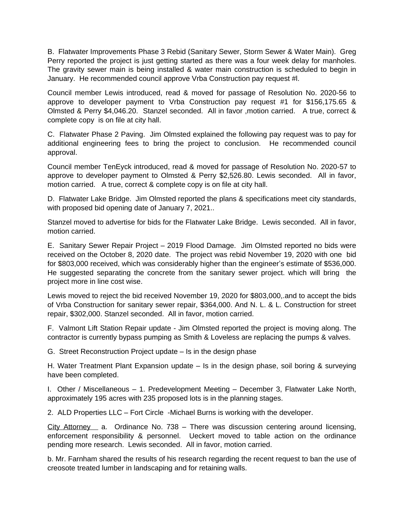B. Flatwater Improvements Phase 3 Rebid (Sanitary Sewer, Storm Sewer & Water Main). Greg Perry reported the project is just getting started as there was a four week delay for manholes. The gravity sewer main is being installed & water main construction is scheduled to begin in January. He recommended council approve Vrba Construction pay request #l.

Council member Lewis introduced, read & moved for passage of Resolution No. 2020-56 to approve to developer payment to Vrba Construction pay request #1 for \$156,175.65 & Olmsted & Perry \$4,046.20. Stanzel seconded. All in favor ,motion carried. A true, correct & complete copy is on file at city hall.

C. Flatwater Phase 2 Paving. Jim Olmsted explained the following pay request was to pay for additional engineering fees to bring the project to conclusion. He recommended council approval.

Council member TenEyck introduced, read & moved for passage of Resolution No. 2020-57 to approve to developer payment to Olmsted & Perry \$2,526.80. Lewis seconded. All in favor, motion carried. A true, correct & complete copy is on file at city hall.

D. Flatwater Lake Bridge. Jim Olmsted reported the plans & specifications meet city standards, with proposed bid opening date of January 7, 2021..

Stanzel moved to advertise for bids for the Flatwater Lake Bridge. Lewis seconded. All in favor, motion carried.

E. Sanitary Sewer Repair Project – 2019 Flood Damage. Jim Olmsted reported no bids were received on the October 8, 2020 date. The project was rebid November 19, 2020 with one bid for \$803,000 received, which was considerably higher than the engineer's estimate of \$536,000. He suggested separating the concrete from the sanitary sewer project. which will bring the project more in line cost wise.

Lewis moved to reject the bid received November 19, 2020 for \$803,000,.and to accept the bids of Vrba Construction for sanitary sewer repair, \$364,000. And N. L. & L. Construction for street repair, \$302,000. Stanzel seconded. All in favor, motion carried.

F. Valmont Lift Station Repair update - Jim Olmsted reported the project is moving along. The contractor is currently bypass pumping as Smith & Loveless are replacing the pumps & valves.

G. Street Reconstruction Project update – Is in the design phase

H. Water Treatment Plant Expansion update – Is in the design phase, soil boring & surveying have been completed.

I. Other / Miscellaneous – 1. Predevelopment Meeting – December 3, Flatwater Lake North, approximately 195 acres with 235 proposed lots is in the planning stages.

2. ALD Properties LLC – Fort Circle -Michael Burns is working with the developer.

City Attorney a. Ordinance No. 738 – There was discussion centering around licensing, enforcement responsibility & personnel. Ueckert moved to table action on the ordinance pending more research. Lewis seconded. All in favor, motion carried.

b. Mr. Farnham shared the results of his research regarding the recent request to ban the use of creosote treated lumber in landscaping and for retaining walls.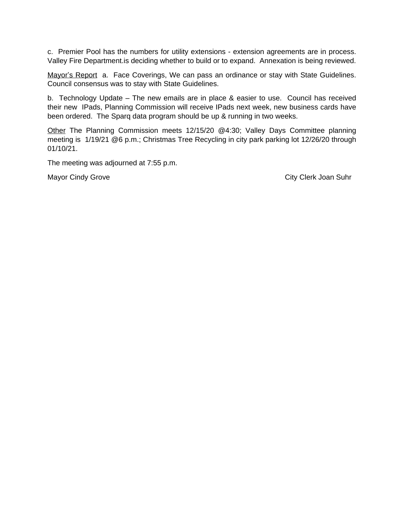c. Premier Pool has the numbers for utility extensions - extension agreements are in process. Valley Fire Department.is deciding whether to build or to expand. Annexation is being reviewed.

Mayor's Report a. Face Coverings, We can pass an ordinance or stay with State Guidelines. Council consensus was to stay with State Guidelines.

b. Technology Update – The new emails are in place & easier to use. Council has received their new IPads, Planning Commission will receive IPads next week, new business cards have been ordered. The Sparq data program should be up & running in two weeks.

Other The Planning Commission meets 12/15/20 @4:30; Valley Days Committee planning meeting is 1/19/21 @6 p.m.; Christmas Tree Recycling in city park parking lot 12/26/20 through 01/10/21.

The meeting was adjourned at 7:55 p.m.

Mayor Cindy Grove City Clerk Joan Suhr